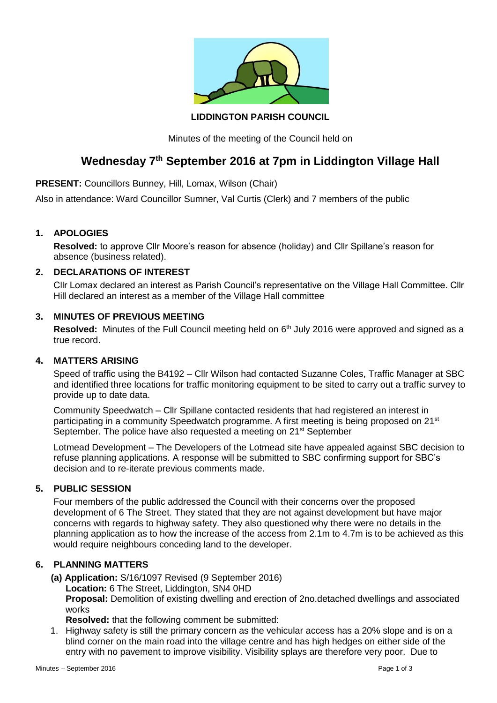

**LIDDINGTON PARISH COUNCIL**

Minutes of the meeting of the Council held on

# **Wednesday 7th September 2016 at 7pm in Liddington Village Hall**

**PRESENT:** Councillors Bunney, Hill, Lomax, Wilson (Chair)

Also in attendance: Ward Councillor Sumner, Val Curtis (Clerk) and 7 members of the public

## **1. APOLOGIES**

**Resolved:** to approve Cllr Moore's reason for absence (holiday) and Cllr Spillane's reason for absence (business related).

## **2. DECLARATIONS OF INTEREST**

Cllr Lomax declared an interest as Parish Council's representative on the Village Hall Committee. Cllr Hill declared an interest as a member of the Village Hall committee

#### **3. MINUTES OF PREVIOUS MEETING**

Resolved: Minutes of the Full Council meeting held on 6<sup>th</sup> July 2016 were approved and signed as a true record.

#### **4. MATTERS ARISING**

Speed of traffic using the B4192 – Cllr Wilson had contacted Suzanne Coles, Traffic Manager at SBC and identified three locations for traffic monitoring equipment to be sited to carry out a traffic survey to provide up to date data.

Community Speedwatch – Cllr Spillane contacted residents that had registered an interest in participating in a community Speedwatch programme. A first meeting is being proposed on 21<sup>st</sup> September. The police have also requested a meeting on 21<sup>st</sup> September

Lotmead Development – The Developers of the Lotmead site have appealed against SBC decision to refuse planning applications. A response will be submitted to SBC confirming support for SBC's decision and to re-iterate previous comments made.

#### **5. PUBLIC SESSION**

Four members of the public addressed the Council with their concerns over the proposed development of 6 The Street. They stated that they are not against development but have major concerns with regards to highway safety. They also questioned why there were no details in the planning application as to how the increase of the access from 2.1m to 4.7m is to be achieved as this would require neighbours conceding land to the developer.

# **6. PLANNING MATTERS**

 **(a) Application:** S/16/1097 Revised (9 September 2016) **Location:** 6 The Street, Liddington, SN4 0HD **Proposal:** Demolition of existing dwelling and erection of 2no.detached dwellings and associated works

**Resolved:** that the following comment be submitted:

1. Highway safety is still the primary concern as the vehicular access has a 20% slope and is on a blind corner on the main road into the village centre and has high hedges on either side of the entry with no pavement to improve visibility. Visibility splays are therefore very poor. Due to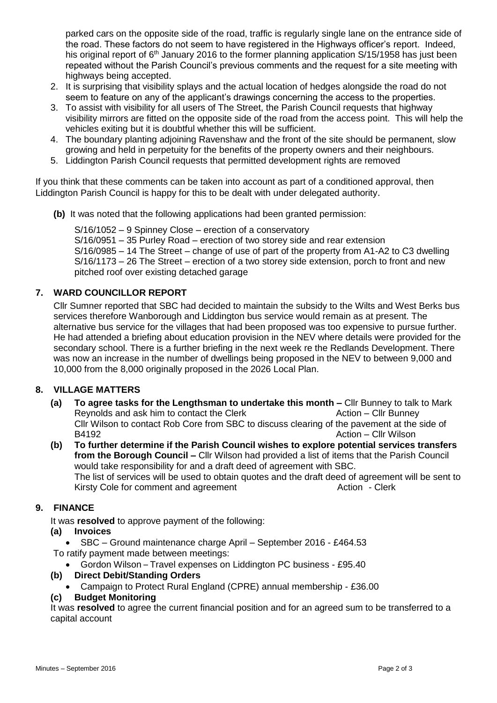parked cars on the opposite side of the road, traffic is regularly single lane on the entrance side of the road. These factors do not seem to have registered in the Highways officer's report. Indeed, his original report of 6<sup>th</sup> January 2016 to the former planning application S/15/1958 has just been repeated without the Parish Council's previous comments and the request for a site meeting with highways being accepted.

- 2. It is surprising that visibility splays and the actual location of hedges alongside the road do not seem to feature on any of the applicant's drawings concerning the access to the properties.
- 3. To assist with visibility for all users of The Street, the Parish Council requests that highway visibility mirrors are fitted on the opposite side of the road from the access point. This will help the vehicles exiting but it is doubtful whether this will be sufficient.
- 4. The boundary planting adjoining Ravenshaw and the front of the site should be permanent, slow growing and held in perpetuity for the benefits of the property owners and their neighbours.
- 5. Liddington Parish Council requests that permitted development rights are removed

If you think that these comments can be taken into account as part of a conditioned approval, then Liddington Parish Council is happy for this to be dealt with under delegated authority.

 **(b)** It was noted that the following applications had been granted permission:

S/16/1052 – 9 Spinney Close – erection of a conservatory S/16/0951 – 35 Purley Road – erection of two storey side and rear extension S/16/0985 – 14 The Street – change of use of part of the property from A1-A2 to C3 dwelling S/16/1173 – 26 The Street – erection of a two storey side extension, porch to front and new pitched roof over existing detached garage

# **7. WARD COUNCILLOR REPORT**

Cllr Sumner reported that SBC had decided to maintain the subsidy to the Wilts and West Berks bus services therefore Wanborough and Liddington bus service would remain as at present. The alternative bus service for the villages that had been proposed was too expensive to pursue further. He had attended a briefing about education provision in the NEV where details were provided for the secondary school. There is a further briefing in the next week re the Redlands Development. There was now an increase in the number of dwellings being proposed in the NEV to between 9,000 and 10,000 from the 8,000 originally proposed in the 2026 Local Plan.

# **8. VILLAGE MATTERS**

- **(a) To agree tasks for the Lengthsman to undertake this month –** Cllr Bunney to talk to Mark Reynolds and ask him to contact the Clerk Action – Clir Bunney Cllr Wilson to contact Rob Core from SBC to discuss clearing of the pavement at the side of B4192 **Action – Clir Wilson**
- **(b) To further determine if the Parish Council wishes to explore potential services transfers from the Borough Council –** Cllr Wilson had provided a list of items that the Parish Council would take responsibility for and a draft deed of agreement with SBC. The list of services will be used to obtain quotes and the draft deed of agreement will be sent to Kirsty Cole for comment and agreement **Action - Clerk Action** - Clerk

### **9. FINANCE**

It was **resolved** to approve payment of the following:

**(a) Invoices**

SBC – Ground maintenance charge April – September 2016 - £464.53

- To ratify payment made between meetings:
	- Gordon Wilson Travel expenses on Liddington PC business £95.40
- **(b) Direct Debit/Standing Orders**
	- Campaign to Protect Rural England (CPRE) annual membership £36.00

#### **(c) Budget Monitoring**

It was **resolved** to agree the current financial position and for an agreed sum to be transferred to a capital account